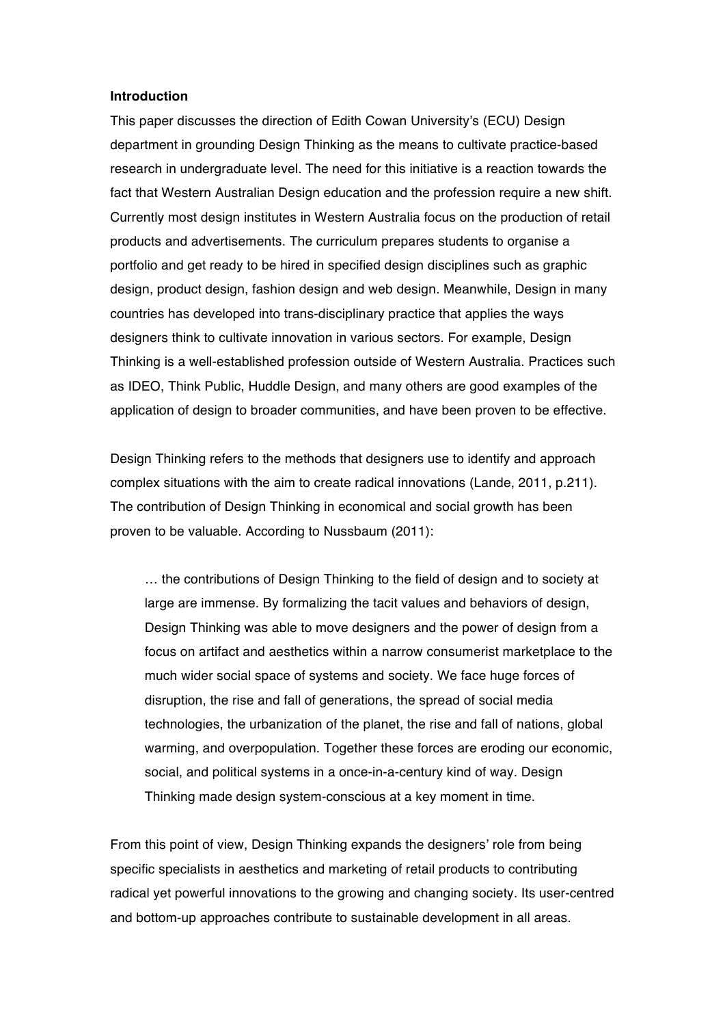#### **Introduction**

This paper discusses the direction of Edith Cowan University's (ECU) Design department in grounding Design Thinking as the means to cultivate practice-based research in undergraduate level. The need for this initiative is a reaction towards the fact that Western Australian Design education and the profession require a new shift. Currently most design institutes in Western Australia focus on the production of retail products and advertisements. The curriculum prepares students to organise a portfolio and get ready to be hired in specified design disciplines such as graphic design, product design, fashion design and web design. Meanwhile, Design in many countries has developed into trans-disciplinary practice that applies the ways designers think to cultivate innovation in various sectors. For example, Design Thinking is a well-established profession outside of Western Australia. Practices such as IDEO, Think Public, Huddle Design, and many others are good examples of the application of design to broader communities, and have been proven to be effective.

Design Thinking refers to the methods that designers use to identify and approach complex situations with the aim to create radical innovations (Lande, 2011, p.211). The contribution of Design Thinking in economical and social growth has been proven to be valuable. According to Nussbaum (2011):

… the contributions of Design Thinking to the field of design and to society at large are immense. By formalizing the tacit values and behaviors of design, Design Thinking was able to move designers and the power of design from a focus on artifact and aesthetics within a narrow consumerist marketplace to the much wider social space of systems and society. We face huge forces of disruption, the rise and fall of generations, the spread of social media technologies, the urbanization of the planet, the rise and fall of nations, global warming, and overpopulation. Together these forces are eroding our economic, social, and political systems in a once-in-a-century kind of way. Design Thinking made design system-conscious at a key moment in time.

From this point of view, Design Thinking expands the designers' role from being specific specialists in aesthetics and marketing of retail products to contributing radical yet powerful innovations to the growing and changing society. Its user-centred and bottom-up approaches contribute to sustainable development in all areas.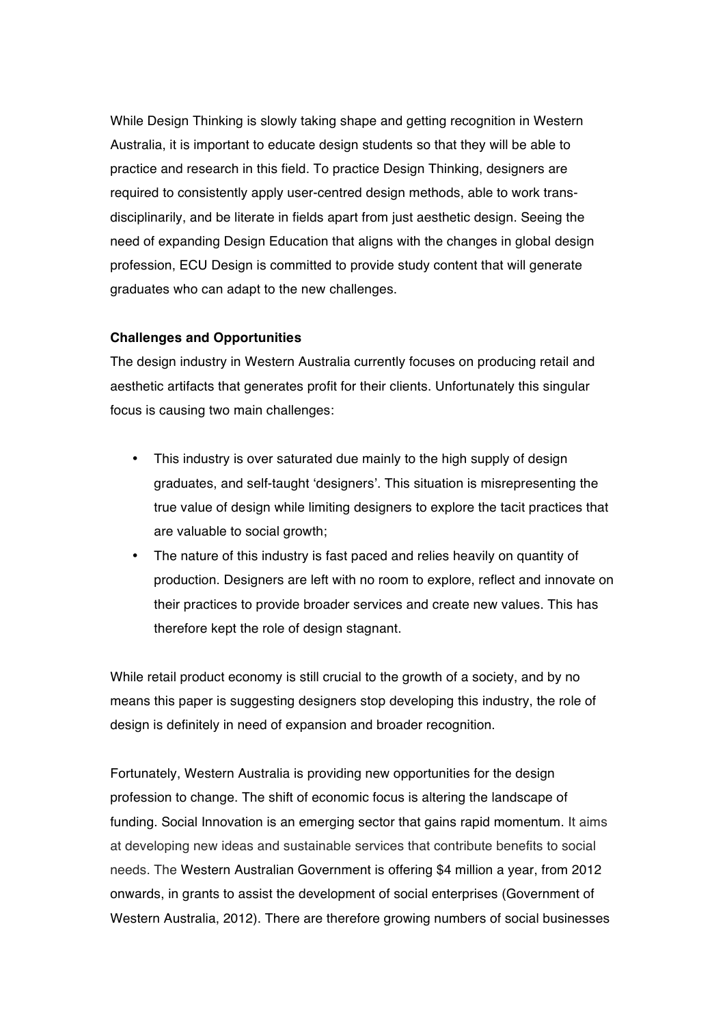While Design Thinking is slowly taking shape and getting recognition in Western Australia, it is important to educate design students so that they will be able to practice and research in this field. To practice Design Thinking, designers are required to consistently apply user-centred design methods, able to work transdisciplinarily, and be literate in fields apart from just aesthetic design. Seeing the need of expanding Design Education that aligns with the changes in global design profession, ECU Design is committed to provide study content that will generate graduates who can adapt to the new challenges.

### **Challenges and Opportunities**

The design industry in Western Australia currently focuses on producing retail and aesthetic artifacts that generates profit for their clients. Unfortunately this singular focus is causing two main challenges:

- This industry is over saturated due mainly to the high supply of design graduates, and self-taught 'designers'. This situation is misrepresenting the true value of design while limiting designers to explore the tacit practices that are valuable to social growth;
- The nature of this industry is fast paced and relies heavily on quantity of production. Designers are left with no room to explore, reflect and innovate on their practices to provide broader services and create new values. This has therefore kept the role of design stagnant.

While retail product economy is still crucial to the growth of a society, and by no means this paper is suggesting designers stop developing this industry, the role of design is definitely in need of expansion and broader recognition.

Fortunately, Western Australia is providing new opportunities for the design profession to change. The shift of economic focus is altering the landscape of funding. Social Innovation is an emerging sector that gains rapid momentum. It aims at developing new ideas and sustainable services that contribute benefits to social needs. The Western Australian Government is offering \$4 million a year, from 2012 onwards, in grants to assist the development of social enterprises (Government of Western Australia, 2012). There are therefore growing numbers of social businesses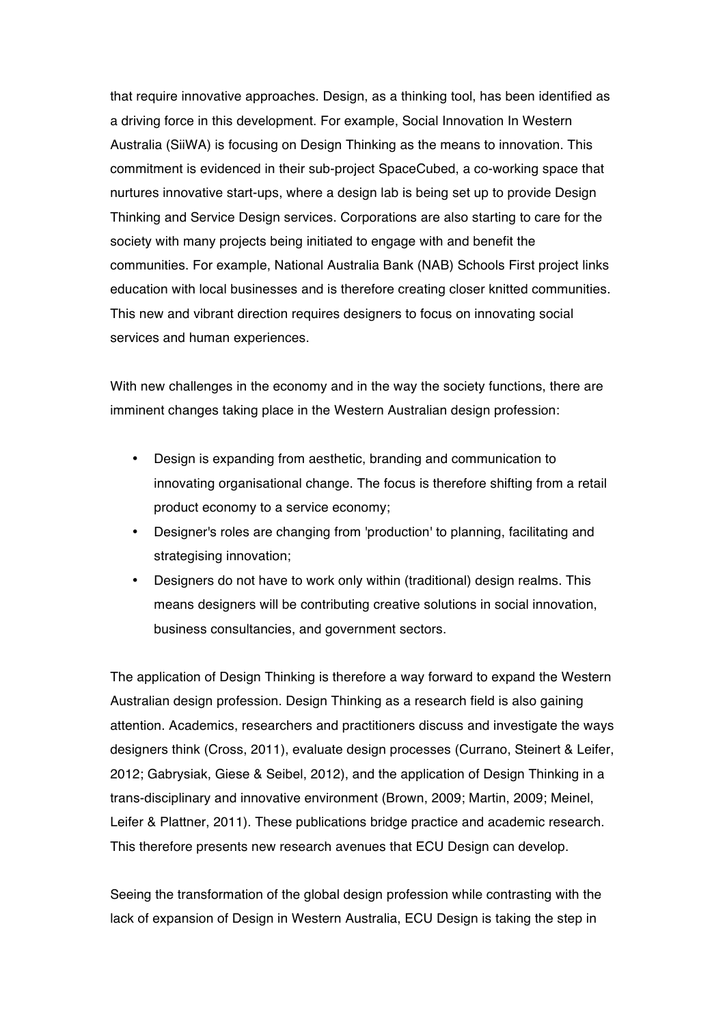that require innovative approaches. Design, as a thinking tool, has been identified as a driving force in this development. For example, Social Innovation In Western Australia (SiiWA) is focusing on Design Thinking as the means to innovation. This commitment is evidenced in their sub-project SpaceCubed, a co-working space that nurtures innovative start-ups, where a design lab is being set up to provide Design Thinking and Service Design services. Corporations are also starting to care for the society with many projects being initiated to engage with and benefit the communities. For example, National Australia Bank (NAB) Schools First project links education with local businesses and is therefore creating closer knitted communities. This new and vibrant direction requires designers to focus on innovating social services and human experiences.

With new challenges in the economy and in the way the society functions, there are imminent changes taking place in the Western Australian design profession:

- Design is expanding from aesthetic, branding and communication to innovating organisational change. The focus is therefore shifting from a retail product economy to a service economy;
- Designer's roles are changing from 'production' to planning, facilitating and strategising innovation;
- Designers do not have to work only within (traditional) design realms. This means designers will be contributing creative solutions in social innovation, business consultancies, and government sectors.

The application of Design Thinking is therefore a way forward to expand the Western Australian design profession. Design Thinking as a research field is also gaining attention. Academics, researchers and practitioners discuss and investigate the ways designers think (Cross, 2011), evaluate design processes (Currano, Steinert & Leifer, 2012; Gabrysiak, Giese & Seibel, 2012), and the application of Design Thinking in a trans-disciplinary and innovative environment (Brown, 2009; Martin, 2009; Meinel, Leifer & Plattner, 2011). These publications bridge practice and academic research. This therefore presents new research avenues that ECU Design can develop.

Seeing the transformation of the global design profession while contrasting with the lack of expansion of Design in Western Australia, ECU Design is taking the step in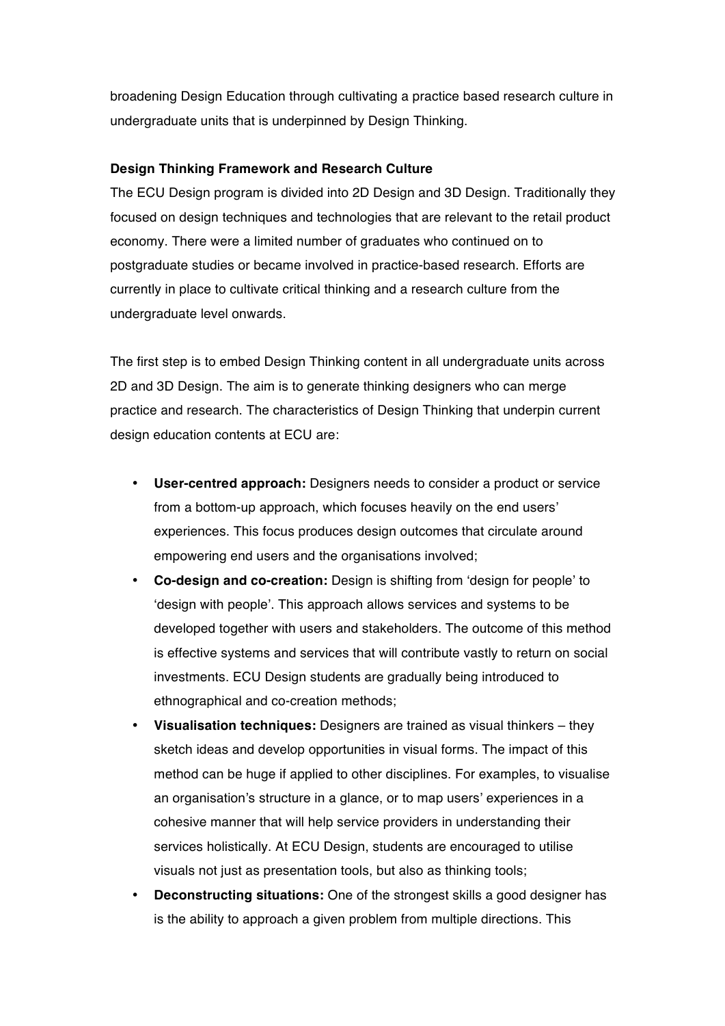broadening Design Education through cultivating a practice based research culture in undergraduate units that is underpinned by Design Thinking.

# **Design Thinking Framework and Research Culture**

The ECU Design program is divided into 2D Design and 3D Design. Traditionally they focused on design techniques and technologies that are relevant to the retail product economy. There were a limited number of graduates who continued on to postgraduate studies or became involved in practice-based research. Efforts are currently in place to cultivate critical thinking and a research culture from the undergraduate level onwards.

The first step is to embed Design Thinking content in all undergraduate units across 2D and 3D Design. The aim is to generate thinking designers who can merge practice and research. The characteristics of Design Thinking that underpin current design education contents at ECU are:

- **User-centred approach:** Designers needs to consider a product or service from a bottom-up approach, which focuses heavily on the end users' experiences. This focus produces design outcomes that circulate around empowering end users and the organisations involved;
- **Co-design and co-creation:** Design is shifting from 'design for people' to 'design with people'. This approach allows services and systems to be developed together with users and stakeholders. The outcome of this method is effective systems and services that will contribute vastly to return on social investments. ECU Design students are gradually being introduced to ethnographical and co-creation methods;
- **Visualisation techniques:** Designers are trained as visual thinkers they sketch ideas and develop opportunities in visual forms. The impact of this method can be huge if applied to other disciplines. For examples, to visualise an organisation's structure in a glance, or to map users' experiences in a cohesive manner that will help service providers in understanding their services holistically. At ECU Design, students are encouraged to utilise visuals not just as presentation tools, but also as thinking tools;
- **Deconstructing situations:** One of the strongest skills a good designer has is the ability to approach a given problem from multiple directions. This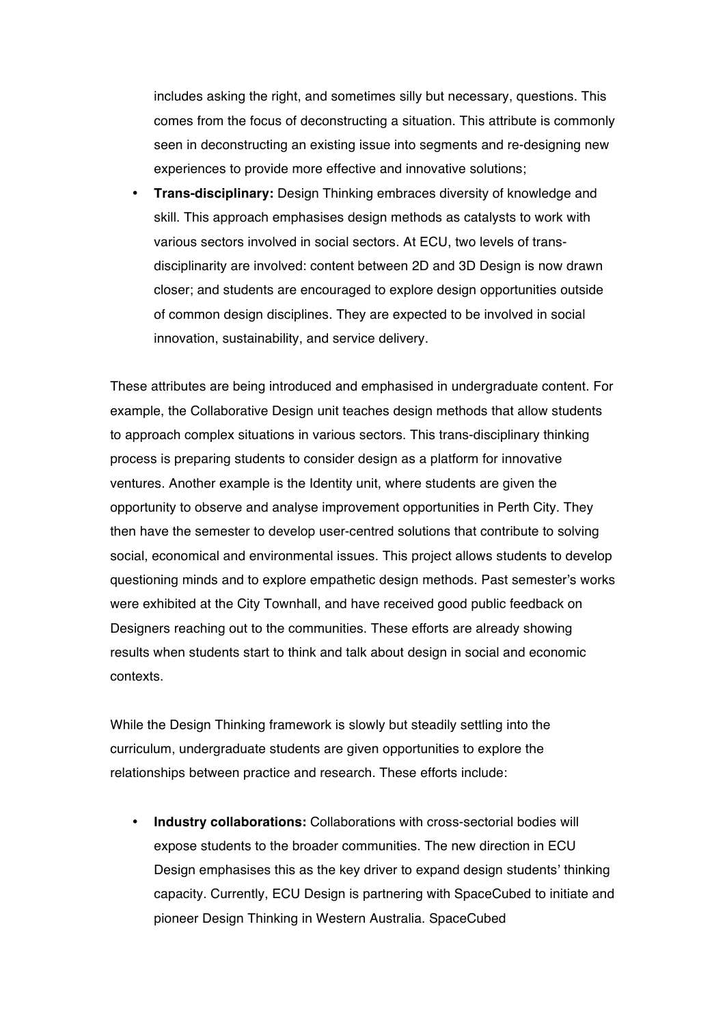includes asking the right, and sometimes silly but necessary, questions. This comes from the focus of deconstructing a situation. This attribute is commonly seen in deconstructing an existing issue into segments and re-designing new experiences to provide more effective and innovative solutions;

• **Trans-disciplinary:** Design Thinking embraces diversity of knowledge and skill. This approach emphasises design methods as catalysts to work with various sectors involved in social sectors. At ECU, two levels of transdisciplinarity are involved: content between 2D and 3D Design is now drawn closer; and students are encouraged to explore design opportunities outside of common design disciplines. They are expected to be involved in social innovation, sustainability, and service delivery.

These attributes are being introduced and emphasised in undergraduate content. For example, the Collaborative Design unit teaches design methods that allow students to approach complex situations in various sectors. This trans-disciplinary thinking process is preparing students to consider design as a platform for innovative ventures. Another example is the Identity unit, where students are given the opportunity to observe and analyse improvement opportunities in Perth City. They then have the semester to develop user-centred solutions that contribute to solving social, economical and environmental issues. This project allows students to develop questioning minds and to explore empathetic design methods. Past semester's works were exhibited at the City Townhall, and have received good public feedback on Designers reaching out to the communities. These efforts are already showing results when students start to think and talk about design in social and economic contexts.

While the Design Thinking framework is slowly but steadily settling into the curriculum, undergraduate students are given opportunities to explore the relationships between practice and research. These efforts include:

• **Industry collaborations:** Collaborations with cross-sectorial bodies will expose students to the broader communities. The new direction in ECU Design emphasises this as the key driver to expand design students' thinking capacity. Currently, ECU Design is partnering with SpaceCubed to initiate and pioneer Design Thinking in Western Australia. SpaceCubed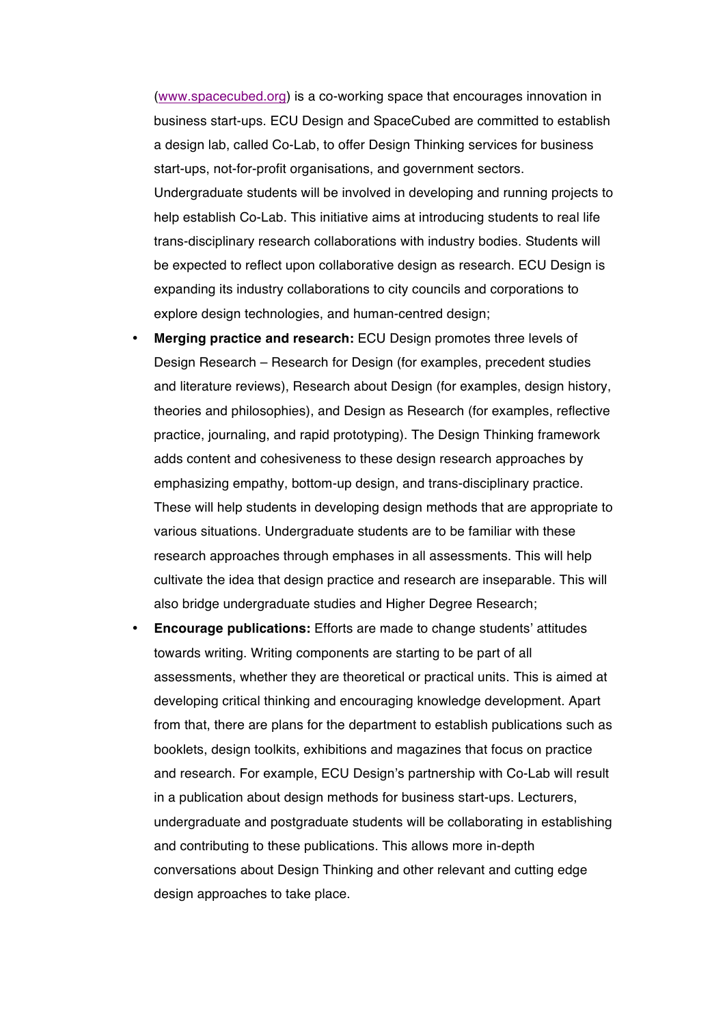(www.spacecubed.org) is a co-working space that encourages innovation in business start-ups. ECU Design and SpaceCubed are committed to establish a design lab, called Co-Lab, to offer Design Thinking services for business start-ups, not-for-profit organisations, and government sectors. Undergraduate students will be involved in developing and running projects to help establish Co-Lab. This initiative aims at introducing students to real life trans-disciplinary research collaborations with industry bodies. Students will be expected to reflect upon collaborative design as research. ECU Design is expanding its industry collaborations to city councils and corporations to explore design technologies, and human-centred design;

- **Merging practice and research:** ECU Design promotes three levels of Design Research – Research for Design (for examples, precedent studies and literature reviews), Research about Design (for examples, design history, theories and philosophies), and Design as Research (for examples, reflective practice, journaling, and rapid prototyping). The Design Thinking framework adds content and cohesiveness to these design research approaches by emphasizing empathy, bottom-up design, and trans-disciplinary practice. These will help students in developing design methods that are appropriate to various situations. Undergraduate students are to be familiar with these research approaches through emphases in all assessments. This will help cultivate the idea that design practice and research are inseparable. This will also bridge undergraduate studies and Higher Degree Research;
- **Encourage publications:** Efforts are made to change students' attitudes towards writing. Writing components are starting to be part of all assessments, whether they are theoretical or practical units. This is aimed at developing critical thinking and encouraging knowledge development. Apart from that, there are plans for the department to establish publications such as booklets, design toolkits, exhibitions and magazines that focus on practice and research. For example, ECU Design's partnership with Co-Lab will result in a publication about design methods for business start-ups. Lecturers, undergraduate and postgraduate students will be collaborating in establishing and contributing to these publications. This allows more in-depth conversations about Design Thinking and other relevant and cutting edge design approaches to take place.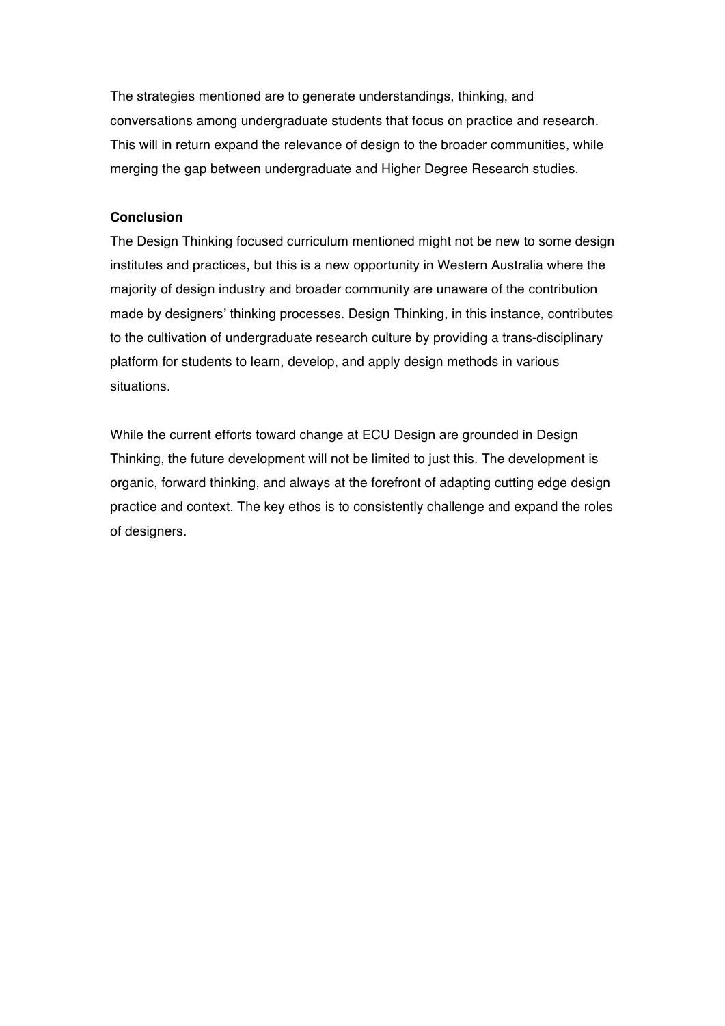The strategies mentioned are to generate understandings, thinking, and conversations among undergraduate students that focus on practice and research. This will in return expand the relevance of design to the broader communities, while merging the gap between undergraduate and Higher Degree Research studies.

# **Conclusion**

The Design Thinking focused curriculum mentioned might not be new to some design institutes and practices, but this is a new opportunity in Western Australia where the majority of design industry and broader community are unaware of the contribution made by designers' thinking processes. Design Thinking, in this instance, contributes to the cultivation of undergraduate research culture by providing a trans-disciplinary platform for students to learn, develop, and apply design methods in various situations.

While the current efforts toward change at ECU Design are grounded in Design Thinking, the future development will not be limited to just this. The development is organic, forward thinking, and always at the forefront of adapting cutting edge design practice and context. The key ethos is to consistently challenge and expand the roles of designers.